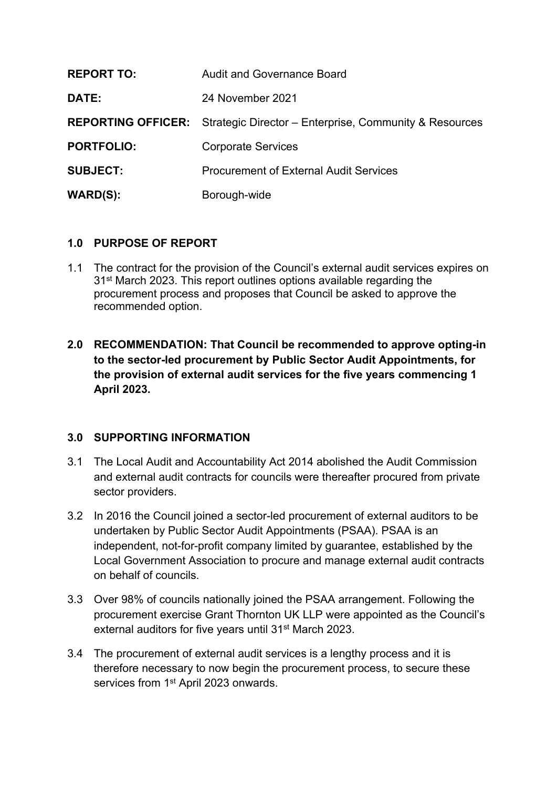| <b>REPORT TO:</b> | <b>Audit and Governance Board</b>                                                |
|-------------------|----------------------------------------------------------------------------------|
| DATE:             | 24 November 2021                                                                 |
|                   | <b>REPORTING OFFICER:</b> Strategic Director – Enterprise, Community & Resources |
| <b>PORTFOLIO:</b> | <b>Corporate Services</b>                                                        |
| <b>SUBJECT:</b>   | <b>Procurement of External Audit Services</b>                                    |
| <b>WARD(S):</b>   | Borough-wide                                                                     |

## **1.0 PURPOSE OF REPORT**

- 1.1 The contract for the provision of the Council's external audit services expires on 31st March 2023. This report outlines options available regarding the procurement process and proposes that Council be asked to approve the recommended option.
- **2.0 RECOMMENDATION: That Council be recommended to approve opting-in to the sector-led procurement by Public Sector Audit Appointments, for the provision of external audit services for the five years commencing 1 April 2023.**

## **3.0 SUPPORTING INFORMATION**

- 3.1 The Local Audit and Accountability Act 2014 abolished the Audit Commission and external audit contracts for councils were thereafter procured from private sector providers.
- 3.2 In 2016 the Council joined a sector-led procurement of external auditors to be undertaken by Public Sector Audit Appointments (PSAA). PSAA is an independent, not-for-profit company limited by guarantee, established by the Local Government Association to procure and manage external audit contracts on behalf of councils.
- 3.3 Over 98% of councils nationally joined the PSAA arrangement. Following the procurement exercise Grant Thornton UK LLP were appointed as the Council's external auditors for five years until 31st March 2023.
- 3.4 The procurement of external audit services is a lengthy process and it is therefore necessary to now begin the procurement process, to secure these services from 1<sup>st</sup> April 2023 onwards.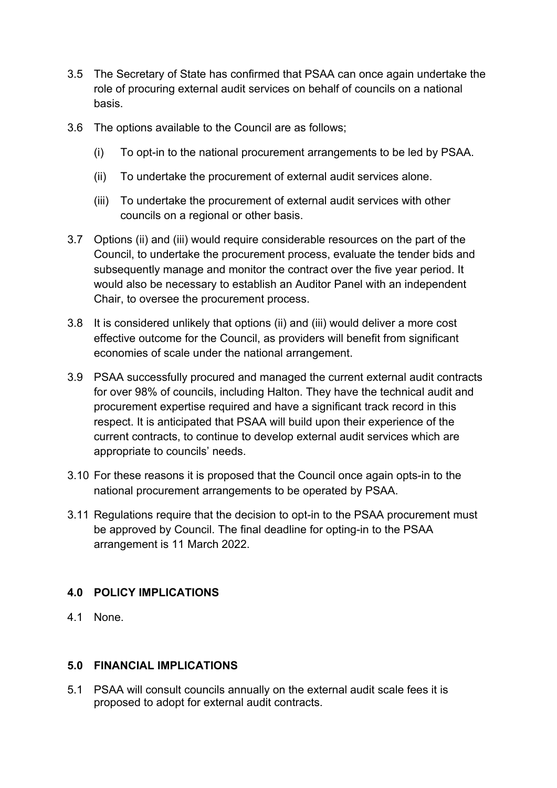- 3.5 The Secretary of State has confirmed that PSAA can once again undertake the role of procuring external audit services on behalf of councils on a national basis.
- 3.6 The options available to the Council are as follows;
	- (i) To opt-in to the national procurement arrangements to be led by PSAA.
	- (ii) To undertake the procurement of external audit services alone.
	- (iii) To undertake the procurement of external audit services with other councils on a regional or other basis.
- 3.7 Options (ii) and (iii) would require considerable resources on the part of the Council, to undertake the procurement process, evaluate the tender bids and subsequently manage and monitor the contract over the five year period. It would also be necessary to establish an Auditor Panel with an independent Chair, to oversee the procurement process.
- 3.8 It is considered unlikely that options (ii) and (iii) would deliver a more cost effective outcome for the Council, as providers will benefit from significant economies of scale under the national arrangement.
- 3.9 PSAA successfully procured and managed the current external audit contracts for over 98% of councils, including Halton. They have the technical audit and procurement expertise required and have a significant track record in this respect. It is anticipated that PSAA will build upon their experience of the current contracts, to continue to develop external audit services which are appropriate to councils' needs.
- 3.10 For these reasons it is proposed that the Council once again opts-in to the national procurement arrangements to be operated by PSAA.
- 3.11 Regulations require that the decision to opt-in to the PSAA procurement must be approved by Council. The final deadline for opting-in to the PSAA arrangement is 11 March 2022.

# **4.0 POLICY IMPLICATIONS**

4.1 None.

## **5.0 FINANCIAL IMPLICATIONS**

5.1 PSAA will consult councils annually on the external audit scale fees it is proposed to adopt for external audit contracts.